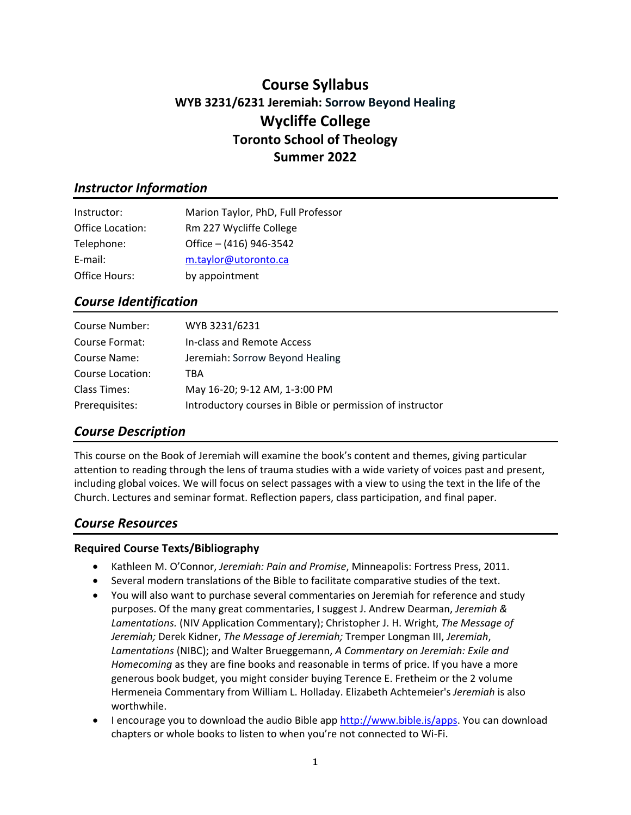# **Course Syllabus WYB 3231/6231 Jeremiah: Sorrow Beyond Healing Wycliffe College Toronto School of Theology Summer 2022**

## *Instructor Information*

| Instructor:      | Marion Taylor, PhD, Full Professor |
|------------------|------------------------------------|
| Office Location: | Rm 227 Wycliffe College            |
| Telephone:       | Office - (416) 946-3542            |
| E-mail:          | m.taylor@utoronto.ca               |
| Office Hours:    | by appointment                     |

## *Course Identification*

| Course Number:   | WYB 3231/6231                                             |
|------------------|-----------------------------------------------------------|
| Course Format:   | In-class and Remote Access                                |
| Course Name:     | Jeremiah: Sorrow Beyond Healing                           |
| Course Location: | TBA                                                       |
| Class Times:     | May 16-20; 9-12 AM, 1-3:00 PM                             |
| Prerequisites:   | Introductory courses in Bible or permission of instructor |

## *Course Description*

This course on the Book of Jeremiah will examine the book's content and themes, giving particular attention to reading through the lens of trauma studies with a wide variety of voices past and present, including global voices. We will focus on select passages with a view to using the text in the life of the Church. Lectures and seminar format. Reflection papers, class participation, and final paper.

## *Course Resources*

## **Required Course Texts/Bibliography**

- Kathleen M. O'Connor, *Jeremiah: Pain and Promise*, Minneapolis: Fortress Press, 2011.
- Several modern translations of the Bible to facilitate comparative studies of the text.
- You will also want to purchase several commentaries on Jeremiah for reference and study purposes. Of the many great commentaries, I suggest J. Andrew Dearman, *Jeremiah & Lamentations.* (NIV Application Commentary); Christopher J. H. Wright, *The Message of Jeremiah;* Derek Kidner, *The Message of Jeremiah;* Tremper Longman III, *Jeremiah*, *Lamentations* (NIBC); and Walter Brueggemann, *A Commentary on Jeremiah: Exile and Homecoming* as they are fine books and reasonable in terms of price. If you have a more generous book budget, you might consider buying Terence E. Fretheim or the 2 volume Hermeneia Commentary from William L. Holladay. Elizabeth Achtemeier's *Jeremiah* is also worthwhile.
- I encourage you to download the audio Bible app [http://www.bible.is/apps.](about:blank) You can download chapters or whole books to listen to when you're not connected to Wi-Fi.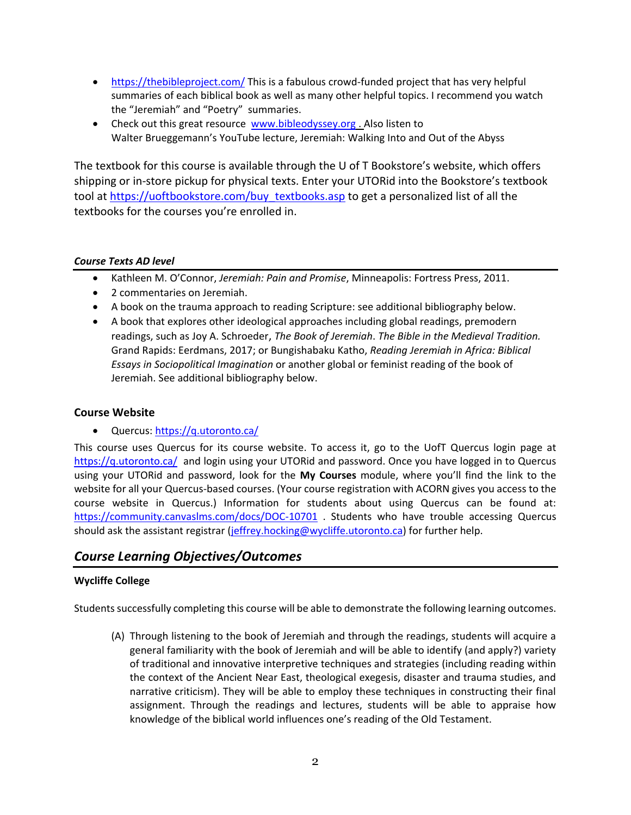- [https://thebibleproject.com/](about:blank) This is a fabulous crowd-funded project that has very helpful summaries of each biblical book as well as many other helpful topics. I recommend you watch the "Jeremiah" and "Poetry" summaries.
- Check out this great resource [www.bibleodyssey.org](about:blank). Also listen to Walter Brueggemann's YouTube lecture, Jeremiah: Walking Into and Out of the Abyss

The textbook for this course is available through the U of T Bookstore's website, which offers shipping or in-store pickup for physical texts. Enter your UTORid into the Bookstore's textbook tool at [https://uoftbookstore.com/buy\\_textbooks.asp](about:blank) to get a personalized list of all the textbooks for the courses you're enrolled in.

### *Course Texts AD level*

- Kathleen M. O'Connor, *Jeremiah: Pain and Promise*, Minneapolis: Fortress Press, 2011.
- 2 commentaries on Jeremiah.
- A book on the trauma approach to reading Scripture: see additional bibliography below.
- A book that explores other ideological approaches including global readings, premodern readings, such as Joy A. Schroeder, *The Book of Jeremiah*. *The Bible in the Medieval Tradition.* Grand Rapids: Eerdmans, 2017; or Bungishabaku Katho, *Reading Jeremiah in Africa: Biblical Essays in Sociopolitical Imagination* or another global or feminist reading of the book of Jeremiah. See additional bibliography below.

### **Course Website**

• Quercus[: https://q.utoronto.ca/](about:blank)

This course uses Quercus for its course website. To access it, go to the UofT Quercus login page at [https://q.utoronto.ca/](about:blank) and login using your UTORid and password. Once you have logged in to Quercus using your UTORid and password, look for the **My Courses** module, where you'll find the link to the website for all your Quercus-based courses. (Your course registration with ACORN gives you access to the course website in Quercus.) Information for students about using Quercus can be found at: [https://community.canvaslms.com/docs/DOC-10701](about:blank) . Students who have trouble accessing Quercus should ask the assistant registrar [\(jeffrey.hocking@wycliffe.utoronto.ca\)](mailto:jeffrey.hocking@wycliffe.utoronto.ca) for further help.

## *Course Learning Objectives/Outcomes*

### **Wycliffe College**

Students successfully completing this course will be able to demonstrate the following learning outcomes.

(A) Through listening to the book of Jeremiah and through the readings, students will acquire a general familiarity with the book of Jeremiah and will be able to identify (and apply?) variety of traditional and innovative interpretive techniques and strategies (including reading within the context of the Ancient Near East, theological exegesis, disaster and trauma studies, and narrative criticism). They will be able to employ these techniques in constructing their final assignment. Through the readings and lectures, students will be able to appraise how knowledge of the biblical world influences one's reading of the Old Testament.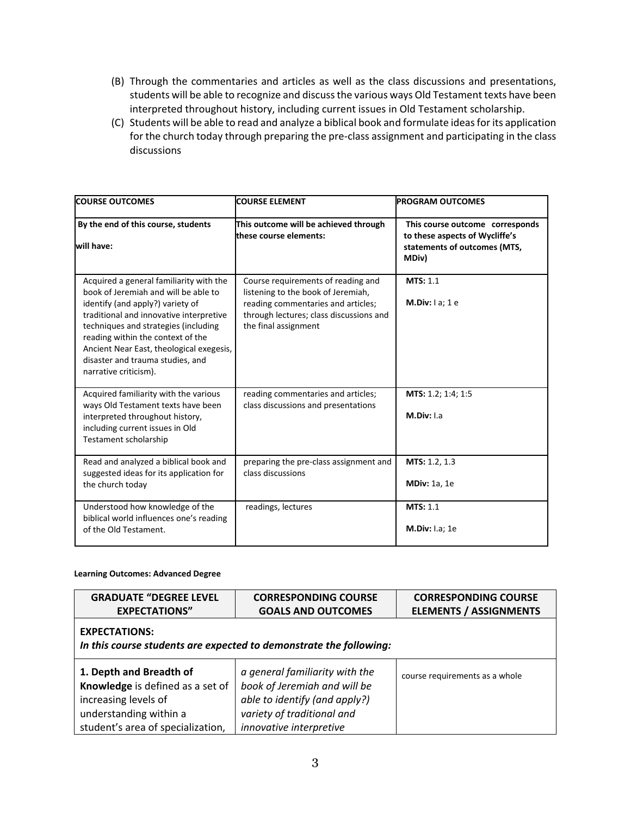- (B) Through the commentaries and articles as well as the class discussions and presentations, students will be able to recognize and discuss the various ways Old Testament texts have been interpreted throughout history, including current issues in Old Testament scholarship.
- (C) Students will be able to read and analyze a biblical book and formulate ideas for its application for the church today through preparing the pre-class assignment and participating in the class discussions

| <b>COURSE OUTCOMES</b>                                                                                                                                                                                                                                                                                                                               | <b>COURSE ELEMENT</b>                                                                                                                                                             | <b>PROGRAM OUTCOMES</b><br>This course outcome corresponds<br>to these aspects of Wycliffe's<br>statements of outcomes (MTS,<br>MDiv) |  |  |  |
|------------------------------------------------------------------------------------------------------------------------------------------------------------------------------------------------------------------------------------------------------------------------------------------------------------------------------------------------------|-----------------------------------------------------------------------------------------------------------------------------------------------------------------------------------|---------------------------------------------------------------------------------------------------------------------------------------|--|--|--|
| By the end of this course, students<br>will have:                                                                                                                                                                                                                                                                                                    | This outcome will be achieved through<br>these course elements:                                                                                                                   |                                                                                                                                       |  |  |  |
| Acquired a general familiarity with the<br>book of Jeremiah and will be able to<br>identify (and apply?) variety of<br>traditional and innovative interpretive<br>techniques and strategies (including<br>reading within the context of the<br>Ancient Near East, theological exegesis,<br>disaster and trauma studies, and<br>narrative criticism). | Course requirements of reading and<br>listening to the book of Jeremiah,<br>reading commentaries and articles;<br>through lectures; class discussions and<br>the final assignment | <b>MTS: 1.1</b><br>M.Div: $1a$ ; 1 e                                                                                                  |  |  |  |
| Acquired familiarity with the various<br>ways Old Testament texts have been<br>interpreted throughout history,<br>including current issues in Old<br>Testament scholarship                                                                                                                                                                           | reading commentaries and articles;<br>class discussions and presentations                                                                                                         | MTS: 1.2; 1:4; 1:5<br>M.Div: I.a                                                                                                      |  |  |  |
| Read and analyzed a biblical book and<br>suggested ideas for its application for<br>the church today                                                                                                                                                                                                                                                 | preparing the pre-class assignment and<br>class discussions                                                                                                                       | MTS: 1.2, 1.3<br><b>MDiv: 1a, 1e</b>                                                                                                  |  |  |  |
| Understood how knowledge of the<br>biblical world influences one's reading<br>of the Old Testament.                                                                                                                                                                                                                                                  | readings, lectures                                                                                                                                                                | <b>MTS: 1.1</b><br><b>M.Div: I.a; 1e</b>                                                                                              |  |  |  |

#### **Learning Outcomes: Advanced Degree**

| <b>GRADUATE "DEGREE LEVEL</b>                                                                                                                      | <b>CORRESPONDING COURSE</b>                                                                                                                              | <b>CORRESPONDING COURSE</b>    |  |  |  |
|----------------------------------------------------------------------------------------------------------------------------------------------------|----------------------------------------------------------------------------------------------------------------------------------------------------------|--------------------------------|--|--|--|
| <b>EXPECTATIONS"</b>                                                                                                                               | <b>GOALS AND OUTCOMES</b>                                                                                                                                | <b>ELEMENTS / ASSIGNMENTS</b>  |  |  |  |
| <b>EXPECTATIONS:</b><br>In this course students are expected to demonstrate the following:                                                         |                                                                                                                                                          |                                |  |  |  |
| 1. Depth and Breadth of<br>Knowledge is defined as a set of<br>increasing levels of<br>understanding within a<br>student's area of specialization, | a general familiarity with the<br>book of Jeremiah and will be<br>able to identify (and apply?)<br>variety of traditional and<br>innovative interpretive | course requirements as a whole |  |  |  |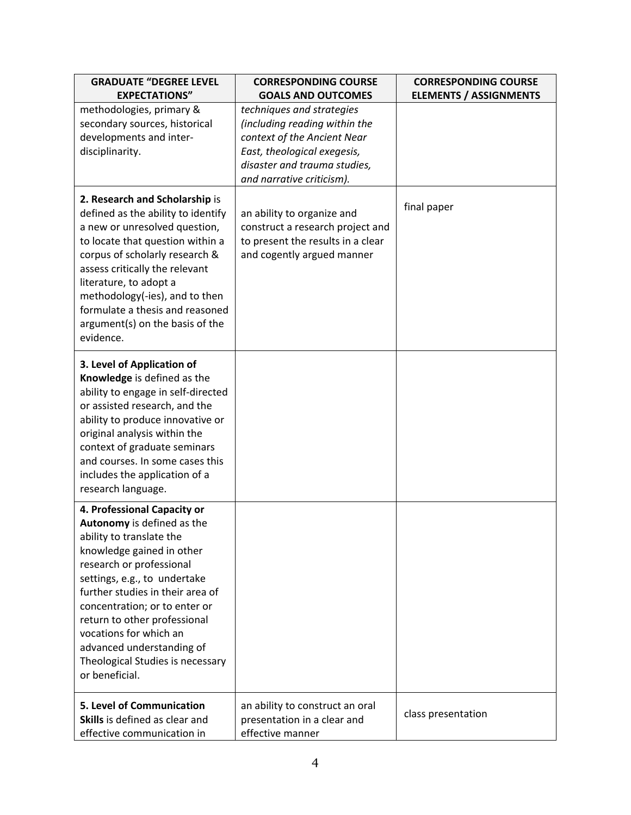| <b>GRADUATE "DEGREE LEVEL</b>                                                                                                                                                                                                                                                                                                                                                                    | <b>CORRESPONDING COURSE</b>                                                                                                                                                           | <b>CORRESPONDING COURSE</b>   |
|--------------------------------------------------------------------------------------------------------------------------------------------------------------------------------------------------------------------------------------------------------------------------------------------------------------------------------------------------------------------------------------------------|---------------------------------------------------------------------------------------------------------------------------------------------------------------------------------------|-------------------------------|
| <b>EXPECTATIONS"</b>                                                                                                                                                                                                                                                                                                                                                                             | <b>GOALS AND OUTCOMES</b>                                                                                                                                                             | <b>ELEMENTS / ASSIGNMENTS</b> |
| methodologies, primary &<br>secondary sources, historical<br>developments and inter-<br>disciplinarity.                                                                                                                                                                                                                                                                                          | techniques and strategies<br>(including reading within the<br>context of the Ancient Near<br>East, theological exegesis,<br>disaster and trauma studies,<br>and narrative criticism). |                               |
| 2. Research and Scholarship is<br>defined as the ability to identify<br>a new or unresolved question,<br>to locate that question within a<br>corpus of scholarly research &<br>assess critically the relevant<br>literature, to adopt a<br>methodology(-ies), and to then<br>formulate a thesis and reasoned<br>argument(s) on the basis of the<br>evidence.                                     | an ability to organize and<br>construct a research project and<br>to present the results in a clear<br>and cogently argued manner                                                     | final paper                   |
| 3. Level of Application of<br>Knowledge is defined as the<br>ability to engage in self-directed<br>or assisted research, and the<br>ability to produce innovative or<br>original analysis within the<br>context of graduate seminars<br>and courses. In some cases this<br>includes the application of a<br>research language.                                                                   |                                                                                                                                                                                       |                               |
| 4. Professional Capacity or<br>Autonomy is defined as the<br>ability to translate the<br>knowledge gained in other<br>research or professional<br>settings, e.g., to undertake<br>further studies in their area of<br>concentration; or to enter or<br>return to other professional<br>vocations for which an<br>advanced understanding of<br>Theological Studies is necessary<br>or beneficial. |                                                                                                                                                                                       |                               |
| 5. Level of Communication<br>Skills is defined as clear and<br>effective communication in                                                                                                                                                                                                                                                                                                        | an ability to construct an oral<br>presentation in a clear and<br>effective manner                                                                                                    | class presentation            |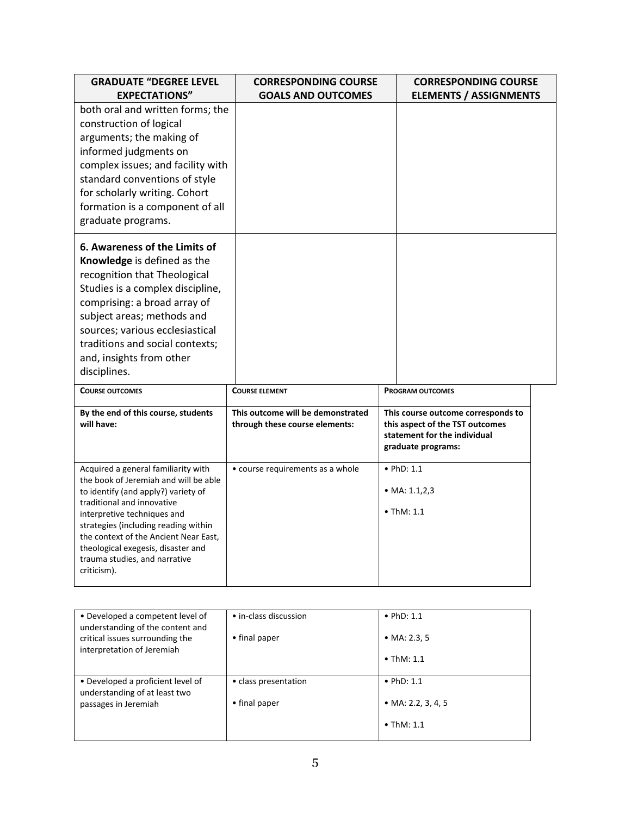| <b>GRADUATE "DEGREE LEVEL</b><br><b>EXPECTATIONS"</b>                                                                                                                                                                                                                                                                                                   | <b>CORRESPONDING COURSE</b><br><b>GOALS AND OUTCOMES</b>            | <b>CORRESPONDING COURSE</b><br><b>ELEMENTS / ASSIGNMENTS</b>                                                                |
|---------------------------------------------------------------------------------------------------------------------------------------------------------------------------------------------------------------------------------------------------------------------------------------------------------------------------------------------------------|---------------------------------------------------------------------|-----------------------------------------------------------------------------------------------------------------------------|
| both oral and written forms; the<br>construction of logical<br>arguments; the making of<br>informed judgments on<br>complex issues; and facility with<br>standard conventions of style<br>for scholarly writing. Cohort<br>formation is a component of all<br>graduate programs.                                                                        |                                                                     |                                                                                                                             |
| 6. Awareness of the Limits of<br>Knowledge is defined as the<br>recognition that Theological<br>Studies is a complex discipline,<br>comprising: a broad array of<br>subject areas; methods and<br>sources; various ecclesiastical<br>traditions and social contexts;<br>and, insights from other<br>disciplines.                                        |                                                                     |                                                                                                                             |
| <b>COURSE OUTCOMES</b>                                                                                                                                                                                                                                                                                                                                  | <b>COURSE ELEMENT</b>                                               | <b>PROGRAM OUTCOMES</b>                                                                                                     |
| By the end of this course, students<br>will have:                                                                                                                                                                                                                                                                                                       | This outcome will be demonstrated<br>through these course elements: | This course outcome corresponds to<br>this aspect of the TST outcomes<br>statement for the individual<br>graduate programs: |
| Acquired a general familiarity with<br>the book of Jeremiah and will be able<br>to identify (and apply?) variety of<br>traditional and innovative<br>interpretive techniques and<br>strategies (including reading within<br>the context of the Ancient Near East,<br>theological exegesis, disaster and<br>trauma studies, and narrative<br>criticism). | • course requirements as a whole                                    | $\bullet$ PhD: 1.1<br>• MA: $1.1, 2, 3$<br>$\bullet$ ThM: 1.1                                                               |

| • Developed a competent level of<br>understanding of the content and<br>critical issues surrounding the<br>interpretation of Jeremiah | • in-class discussion<br>• final paper | $\bullet$ PhD: 1.1<br>• MA: 2.3, 5<br>$\bullet$ ThM: 1.1       |
|---------------------------------------------------------------------------------------------------------------------------------------|----------------------------------------|----------------------------------------------------------------|
| • Developed a proficient level of<br>understanding of at least two<br>passages in Jeremiah                                            | • class presentation<br>• final paper  | $\bullet$ PhD: 1.1<br>• MA: 2.2, 3, 4, 5<br>$\bullet$ ThM: 1.1 |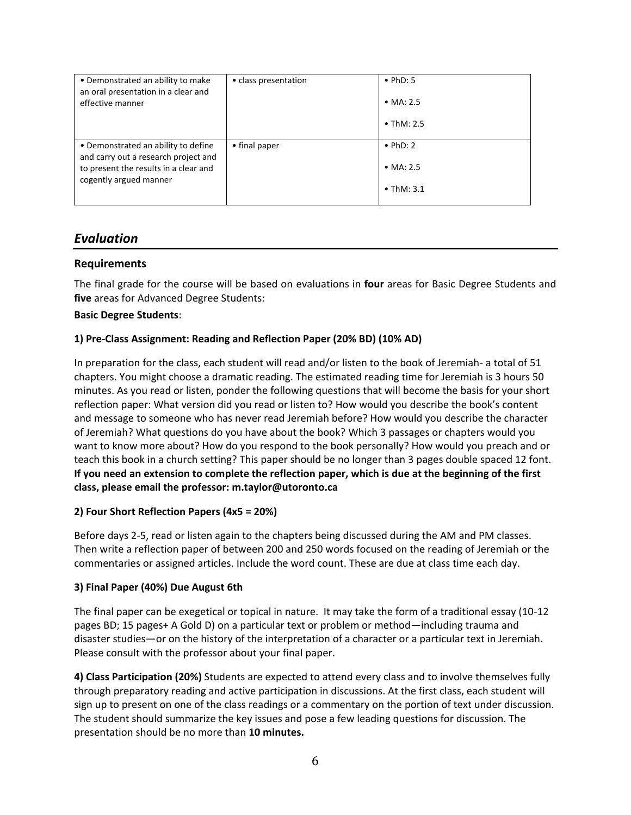| • Demonstrated an ability to make<br>an oral presentation in a clear and<br>effective manner                                                   | • class presentation | $\bullet$ PhD: 5<br>• $MA: 2.5$<br>$\bullet$ ThM: 2.5 |
|------------------------------------------------------------------------------------------------------------------------------------------------|----------------------|-------------------------------------------------------|
| • Demonstrated an ability to define<br>and carry out a research project and<br>to present the results in a clear and<br>cogently argued manner | • final paper        | $\bullet$ PhD: 2<br>• $MA: 2.5$<br>$\bullet$ ThM: 3.1 |

## *Evaluation*

### **Requirements**

The final grade for the course will be based on evaluations in **four** areas for Basic Degree Students and **five** areas for Advanced Degree Students:

#### **Basic Degree Students**:

#### **1) Pre-Class Assignment: Reading and Reflection Paper (20% BD) (10% AD)**

In preparation for the class, each student will read and/or listen to the book of Jeremiah- a total of 51 chapters. You might choose a dramatic reading. The estimated reading time for Jeremiah is 3 hours 50 minutes. As you read or listen, ponder the following questions that will become the basis for your short reflection paper: What version did you read or listen to? How would you describe the book's content and message to someone who has never read Jeremiah before? How would you describe the character of Jeremiah? What questions do you have about the book? Which 3 passages or chapters would you want to know more about? How do you respond to the book personally? How would you preach and or teach this book in a church setting? This paper should be no longer than 3 pages double spaced 12 font. **If you need an extension to complete the reflection paper, which is due at the beginning of the first class, please email the professor: m.taylor@utoronto.ca**

#### **2) Four Short Reflection Papers (4x5 = 20%)**

Before days 2-5, read or listen again to the chapters being discussed during the AM and PM classes. Then write a reflection paper of between 200 and 250 words focused on the reading of Jeremiah or the commentaries or assigned articles. Include the word count. These are due at class time each day.

#### **3) Final Paper (40%) Due August 6th**

The final paper can be exegetical or topical in nature. It may take the form of a traditional essay (10-12 pages BD; 15 pages+ A Gold D) on a particular text or problem or method—including trauma and disaster studies—or on the history of the interpretation of a character or a particular text in Jeremiah. Please consult with the professor about your final paper.

**4) Class Participation (20%)** Students are expected to attend every class and to involve themselves fully through preparatory reading and active participation in discussions. At the first class, each student will sign up to present on one of the class readings or a commentary on the portion of text under discussion. The student should summarize the key issues and pose a few leading questions for discussion. The presentation should be no more than **10 minutes.**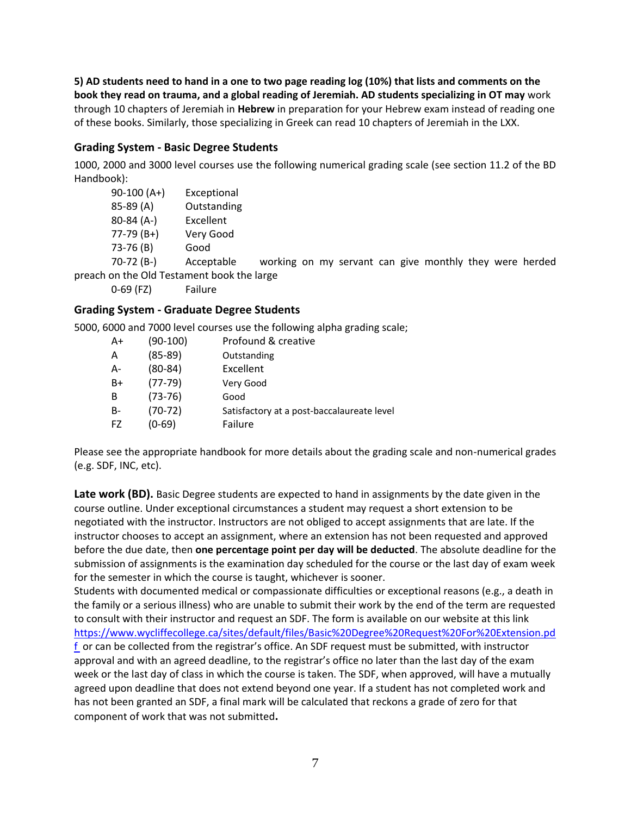**5) AD students need to hand in a one to two page reading log (10%) that lists and comments on the book they read on trauma, and a global reading of Jeremiah. AD students specializing in OT may** work through 10 chapters of Jeremiah in **Hebrew** in preparation for your Hebrew exam instead of reading one of these books. Similarly, those specializing in Greek can read 10 chapters of Jeremiah in the LXX.

## **Grading System - Basic Degree Students**

1000, 2000 and 3000 level courses use the following numerical grading scale (see section 11.2 of the BD Handbook):

| $90-100(A+)$ | Exceptional                                |  |  |  |                                                         |  |  |
|--------------|--------------------------------------------|--|--|--|---------------------------------------------------------|--|--|
| 85-89 (A)    | Outstanding                                |  |  |  |                                                         |  |  |
| $80-84(A-)$  | Excellent                                  |  |  |  |                                                         |  |  |
| $77-79(B+)$  | Very Good                                  |  |  |  |                                                         |  |  |
| 73-76 (B)    | Good                                       |  |  |  |                                                         |  |  |
| $70-72(B-)$  | Acceptable                                 |  |  |  | working on my servant can give monthly they were herded |  |  |
|              | preach on the Old Testament book the large |  |  |  |                                                         |  |  |
| $0-69$ (FZ)  | Failure                                    |  |  |  |                                                         |  |  |

## **Grading System - Graduate Degree Students**

5000, 6000 and 7000 level courses use the following alpha grading scale;

| A+  | $(90-100)$ | Profound & creative                        |
|-----|------------|--------------------------------------------|
| Α   | $(85-89)$  | Outstanding                                |
| А-  | $(80-84)$  | Excellent                                  |
| B+  | $(77-79)$  | Very Good                                  |
| в   | $(73-76)$  | Good                                       |
| B-  | $(70-72)$  | Satisfactory at a post-baccalaureate level |
| FZ. | (0-69)     | Failure                                    |

Please see the appropriate handbook for more details about the grading scale and non-numerical grades (e.g. SDF, INC, etc).

**Late work (BD).** Basic Degree students are expected to hand in assignments by the date given in the course outline. Under exceptional circumstances a student may request a short extension to be negotiated with the instructor. Instructors are not obliged to accept assignments that are late. If the instructor chooses to accept an assignment, where an extension has not been requested and approved before the due date, then **one percentage point per day will be deducted**. The absolute deadline for the submission of assignments is the examination day scheduled for the course or the last day of exam week for the semester in which the course is taught, whichever is sooner.

Students with documented medical or compassionate difficulties or exceptional reasons (e.g., a death in the family or a serious illness) who are unable to submit their work by the end of the term are requested to consult with their instructor and request an SDF. The form is available on our website at this link [https://www.wycliffecollege.ca/sites/default/files/Basic%20Degree%20Request%20For%20Extension.pd](about:blank) [f](about:blank) or can be collected from the registrar's office. An SDF request must be submitted, with instructor approval and with an agreed deadline, to the registrar's office no later than the last day of the exam week or the last day of class in which the course is taken. The SDF, when approved, will have a mutually agreed upon deadline that does not extend beyond one year. If a student has not completed work and has not been granted an SDF, a final mark will be calculated that reckons a grade of zero for that component of work that was not submitted**.**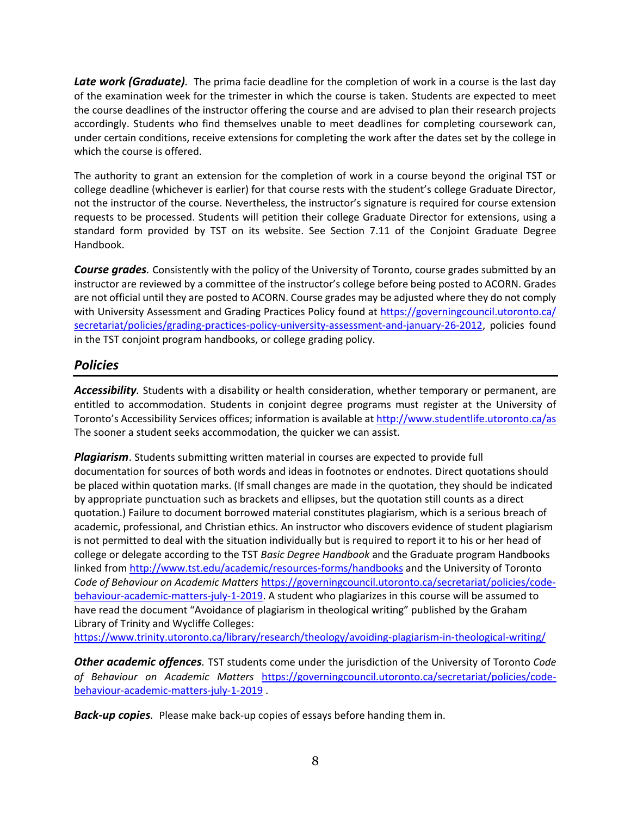*Late work (Graduate).* The prima facie deadline for the completion of work in a course is the last day of the examination week for the trimester in which the course is taken. Students are expected to meet the course deadlines of the instructor offering the course and are advised to plan their research projects accordingly. Students who find themselves unable to meet deadlines for completing coursework can, under certain conditions, receive extensions for completing the work after the dates set by the college in which the course is offered.

The authority to grant an extension for the completion of work in a course beyond the original TST or college deadline (whichever is earlier) for that course rests with the student's college Graduate Director, not the instructor of the course. Nevertheless, the instructor's signature is required for course extension requests to be processed. Students will petition their college Graduate Director for extensions, using a standard form provided by TST on its website. See Section 7.11 of the Conjoint Graduate Degree Handbook.

*Course grades.* Consistently with the policy of the University of Toronto, course grades submitted by an instructor are reviewed by a committee of the instructor's college before being posted to ACORN. Grades are not official until they are posted to ACORN. Course grades may be adjusted where they do not comply with University Assessment and Grading Practices Policy found at [https://governingcouncil.utoronto.ca/](about:blank) [secretariat/policies/grading-practices-policy-university-assessment-and-january-26-2012,](about:blank) policies found in the TST conjoint program handbooks, or college grading policy.

## *Policies*

*Accessibility.* Students with a disability or health consideration, whether temporary or permanent, are entitled to accommodation. Students in conjoint degree programs must register at the University of Toronto's Accessibility Services offices; information is available a[t http://www.studentlife.utoronto.ca/as](about:blank) The sooner a student seeks accommodation, the quicker we can assist.

*Plagiarism*. Students submitting written material in courses are expected to provide full documentation for sources of both words and ideas in footnotes or endnotes. Direct quotations should be placed within quotation marks. (If small changes are made in the quotation, they should be indicated by appropriate punctuation such as brackets and ellipses, but the quotation still counts as a direct quotation.) Failure to document borrowed material constitutes plagiarism, which is a serious breach of academic, professional, and Christian ethics. An instructor who discovers evidence of student plagiarism is not permitted to deal with the situation individually but is required to report it to his or her head of college or delegate according to the TST *Basic Degree Handbook* and the Graduate program Handbooks linked from [http://www.tst.edu/academic/resources-forms/handbooks](about:blank) and the University of Toronto *Code of Behaviour on Academic Matters* [https://governingcouncil.utoronto.ca/secretariat/policies/code](about:blank)[behaviour-academic-matters-july-1-2019.](about:blank) A student who plagiarizes in this course will be assumed to have read the document "Avoidance of plagiarism in theological writing" published by the Graham Library of Trinity and Wycliffe Colleges:

[https://www.trinity.utoronto.ca/library/research/theology/avoiding-plagiarism-in-theological-writing/](about:blank)

*Other academic offences.* TST students come under the jurisdiction of the University of Toronto *Code of Behaviour on Academic Matters* [https://governingcouncil.utoronto.ca/secretariat/policies/code](about:blank)[behaviour-academic-matters-july-1-2019](about:blank) .

*Back-up copies.* Please make back-up copies of essays before handing them in.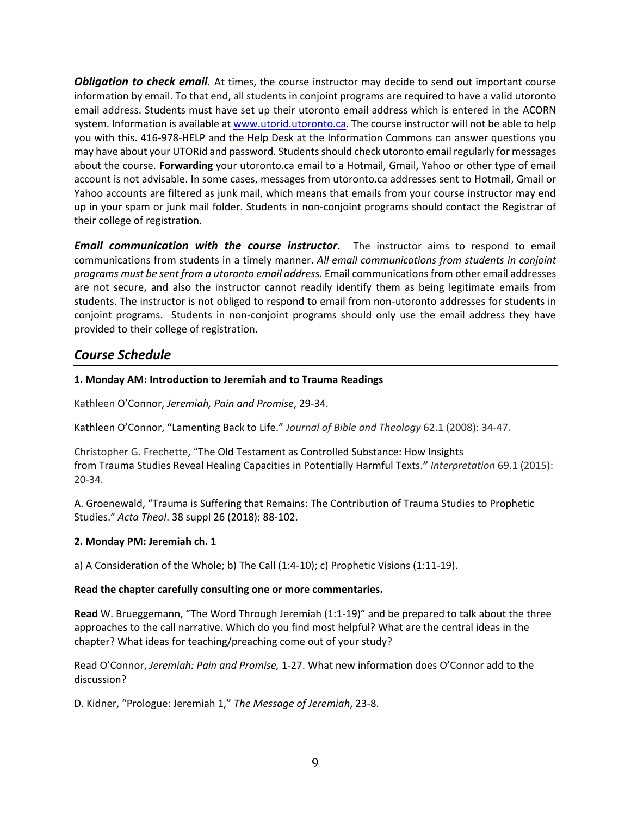*Obligation to check email.* At times, the course instructor may decide to send out important course information by email. To that end, all students in conjoint programs are required to have a valid utoronto email address. Students must have set up their utoronto email address which is entered in the ACORN system. Information is available a[t www.utorid.utoronto.ca.](about:blank) The course instructor will not be able to help you with this. 416**-**978-HELP and the Help Desk at the Information Commons can answer questions you may have about your UTORid and password. Students should check utoronto email regularly for messages about the course. **Forwarding** your utoronto.ca email to a Hotmail, Gmail, Yahoo or other type of email account is not advisable. In some cases, messages from utoronto.ca addresses sent to Hotmail, Gmail or Yahoo accounts are filtered as junk mail, which means that emails from your course instructor may end up in your spam or junk mail folder. Students in non-conjoint programs should contact the Registrar of their college of registration.

*Email communication with the course instructor*. The instructor aims to respond to email communications from students in a timely manner. *All email communications from students in conjoint programs must be sent from a utoronto email address.* Email communications from other email addresses are not secure, and also the instructor cannot readily identify them as being legitimate emails from students. The instructor is not obliged to respond to email from non-utoronto addresses for students in conjoint programs. Students in non-conjoint programs should only use the email address they have provided to their college of registration.

## *Course Schedule*

### **1. Monday AM: Introduction to Jeremiah and to Trauma Readings**

Kathleen O'Connor, *Jeremiah, Pain and Promise*, 29-34.

Kathleen O'Connor, "Lamenting Back to Life." *Journal of Bible and Theology* 62.1 (2008): 34-47.

Christopher G. Frechette, "T[he Old Testament as Controlled Substance: How Insights](about:blank)  from Trauma [Studies Reveal Healing Capacities in Potentially Harmful Texts.](about:blank)**"** *Interpretation* 69.1 (2015): 20-34.

A. Groenewald, "Trauma is Suffering that Remains: The Contribution of Trauma Studies to Prophetic Studies." *Acta Theol*. 38 suppl 26 (2018): 88-102.

#### **2. Monday PM: Jeremiah ch. 1**

a) A Consideration of the Whole; b) The Call (1:4-10); c) Prophetic Visions (1:11-19).

#### **Read the chapter carefully consulting one or more commentaries.**

**Read** W. Brueggemann, "The Word Through Jeremiah (1:1-19)" and be prepared to talk about the three approaches to the call narrative. Which do you find most helpful? What are the central ideas in the chapter? What ideas for teaching/preaching come out of your study?

Read O'Connor, *Jeremiah: Pain and Promise,* 1-27. What new information does O'Connor add to the discussion?

D. Kidner, "Prologue: Jeremiah 1," *The Message of Jeremiah*, 23-8.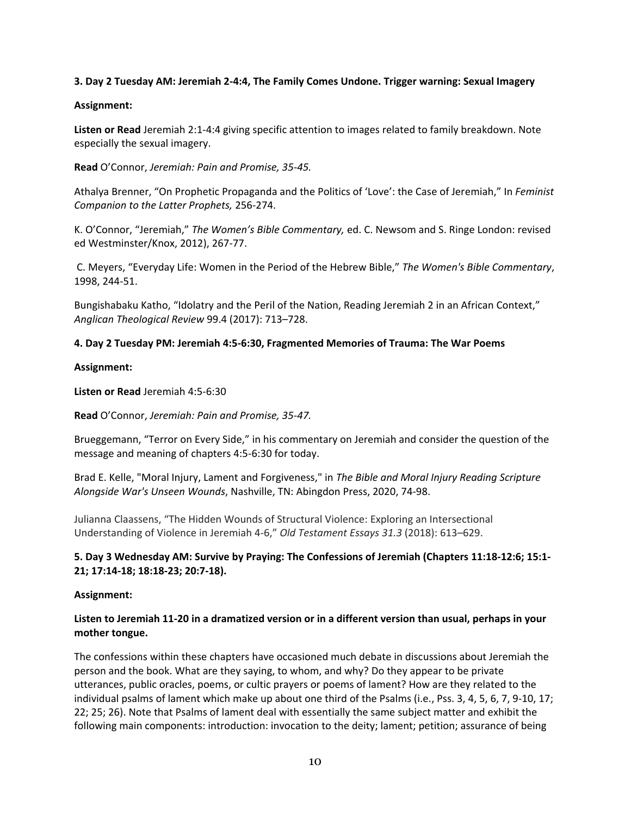#### **3. Day 2 Tuesday AM: Jeremiah 2-4:4, The Family Comes Undone. Trigger warning: Sexual Imagery**

#### **Assignment:**

**Listen or Read** Jeremiah 2:1-4:4 giving specific attention to images related to family breakdown. Note especially the sexual imagery.

**Read** O'Connor, *Jeremiah: Pain and Promise, 35-45.* 

Athalya Brenner, "On Prophetic Propaganda and the Politics of 'Love': the Case of Jeremiah," In *Feminist Companion to the Latter Prophets,* 256-274.

K. O'Connor, "Jeremiah," *The Women's Bible Commentary,* ed. C. Newsom and S. Ringe London: revised ed Westminster/Knox, 2012), 267-77.

C. Meyers, "Everyday Life: Women in the Period of the Hebrew Bible," *The Women's Bible Commentary*, 1998, 244-51.

Bungishabaku Katho, "Idolatry and the Peril of the Nation, Reading Jeremiah 2 in an African Context," *Anglican Theological Review* 99.4 (2017): 713–728.

#### **4. Day 2 Tuesday PM: Jeremiah 4:5-6:30, Fragmented Memories of Trauma: The War Poems**

#### **Assignment:**

**Listen or Read** Jeremiah 4:5-6:30

**Read** O'Connor, *Jeremiah: Pain and Promise, 35-47.* 

Brueggemann, "Terror on Every Side," in his commentary on Jeremiah and consider the question of the message and meaning of chapters 4:5-6:30 for today.

[Brad E. Kelle, "Moral Injury, Lament and Forgiveness," in](https://q.utoronto.ca/courses/266140/modules/items/3585025) *The Bible and Moral Injury Reading Scripture [Alongside War's Unseen Wounds](https://q.utoronto.ca/courses/266140/modules/items/3585025)*, Nashville, TN: Abingdon Press, 2020, 74-98.

Julianna Claassens, "The Hidden Wounds of Structural Violence: Exploring an Intersectional Understanding of Violence in Jeremiah 4-6," *Old Testament Essays 31.3* (2018): 613–629.

### **5. Day 3 Wednesday AM: Survive by Praying: The Confessions of Jeremiah (Chapters 11:18-12:6; 15:1- 21; 17:14-18; 18:18-23; 20:7-18).**

#### **Assignment:**

### **Listen to Jeremiah 11-20 in a dramatized version or in a different version than usual, perhaps in your mother tongue.**

The confessions within these chapters have occasioned much debate in discussions about Jeremiah the person and the book. What are they saying, to whom, and why? Do they appear to be private utterances, public oracles, poems, or cultic prayers or poems of lament? How are they related to the individual psalms of lament which make up about one third of the Psalms (i.e., Pss. 3, 4, 5, 6, 7, 9-10, 17; 22; 25; 26). Note that Psalms of lament deal with essentially the same subject matter and exhibit the following main components: introduction: invocation to the deity; lament; petition; assurance of being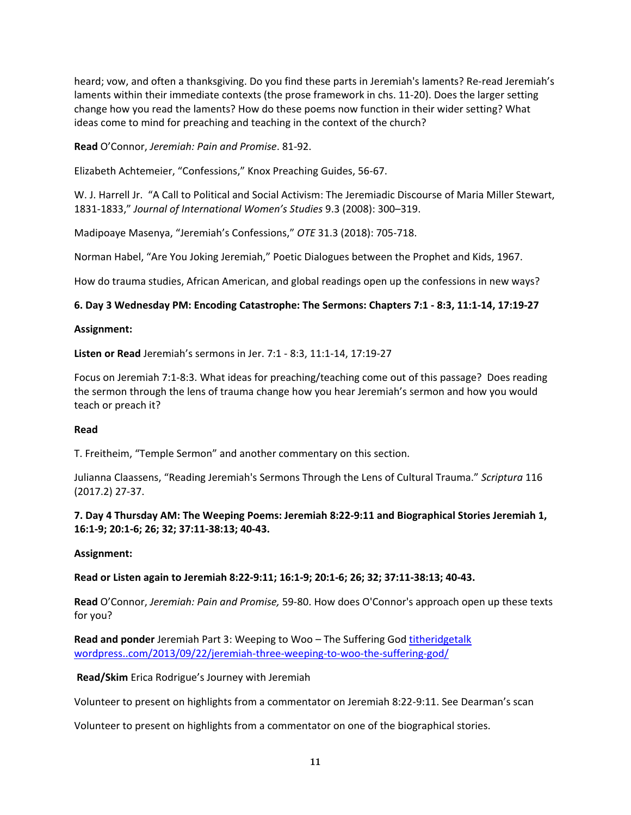heard; vow, and often a thanksgiving. Do you find these parts in Jeremiah's laments? Re-read Jeremiah's laments within their immediate contexts (the prose framework in chs. 11-20). Does the larger setting change how you read the laments? How do these poems now function in their wider setting? What ideas come to mind for preaching and teaching in the context of the church?

**Read** O'Connor, *Jeremiah: Pain and Promise*. 81-92.

Elizabeth Achtemeier, "Confessions," Knox Preaching Guides, 56-67.

W. J. Harrell Jr. "A Call to Political and Social Activism: The Jeremiadic Discourse of Maria Miller Stewart, 1831-1833," *Journal of International Women's Studies* 9.3 (2008): 300–319.

Madipoaye Masenya, "Jeremiah's Confessions," *OTE* 31.3 (2018): 705-718.

Norman Habel, "Are You Joking Jeremiah," Poetic Dialogues between the Prophet and Kids, 1967.

How do trauma studies, African American, and global readings open up the confessions in new ways?

### **6. Day 3 Wednesday PM: Encoding Catastrophe: The Sermons: Chapters 7:1 - 8:3, 11:1-14, 17:19-27**

#### **Assignment:**

**Listen or Read** Jeremiah's sermons in Jer. 7:1 - 8:3, 11:1-14, 17:19-27

Focus on Jeremiah 7:1-8:3. What ideas for preaching/teaching come out of this passage? Does reading the sermon through the lens of trauma change how you hear Jeremiah's sermon and how you would teach or preach it?

#### **Read**

T. Freitheim, "Temple Sermon" and another commentary on this section.

[Julianna Claassens, "Reading Jeremiah's Sermons Through the Lens of Cultural Trauma."](https://q.utoronto.ca/courses/266140/modules/items/3586000) *Scriptura* 116 (2017.2) 27-37.

**7. Day 4 Thursday AM: The Weeping Poems: Jeremiah 8:22-9:11 and Biographical Stories Jeremiah 1, 16:1-9; 20:1-6; 26; 32; 37:11-38:13; 40-43.** 

#### **Assignment:**

**Read or Listen again to Jeremiah 8:22-9:11; 16:1-9; 20:1-6; 26; 32; 37:11-38:13; 40-43.**

**Read** O'Connor, *Jeremiah: Pain and Promise,* 59-80. How does O'Connor's approach open up these texts for you?

**Read and ponder** Jeremiah Part 3: Weeping to Woo – The Suffering God [titheridgetalk](https://titheridgetalk.wordpress.com/2013/09/22/jeremiah-three-weeping-to-woo-the-suffering-god/) [wordpress..com/2013/09/22/jeremiah-three-weeping-to-woo-the-suffering-god/](https://titheridgetalk.wordpress.com/2013/09/22/jeremiah-three-weeping-to-woo-the-suffering-god/)

**Read/Skim** Erica Rodrigue's Journey with Jeremiah

Volunteer to present on highlights from a commentator on Jeremiah 8:22-9:11. See Dearman's scan

Volunteer to present on highlights from a commentator on one of the biographical stories.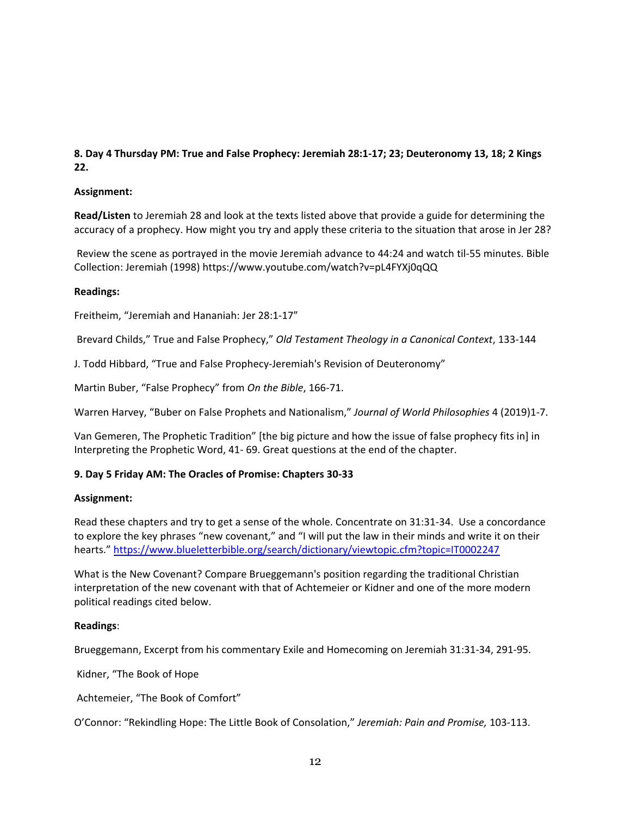### **8. Day 4 Thursday PM: True and False Prophecy: Jeremiah 28:1-17; 23; Deuteronomy 13, 18; 2 Kings 22.**

#### **Assignment:**

**Read/Listen** to Jeremiah 28 and look at the texts listed above that provide a guide for determining the accuracy of a prophecy. How might you try and apply these criteria to the situation that arose in Jer 28?

Review the scene as portrayed in the movie Jeremiah advance to 44:24 and watch til-55 minutes. Bible Collection: Jeremiah (1998) https://www.youtube.com/watch?v=pL4FYXj0qQQ

#### **Readings:**

Freitheim, "Jeremiah and Hananiah: Jer 28:1-17"

Brevard Childs," True and False Prophecy," *Old Testament Theology in a Canonical Context*, 133-144

J. Todd Hibbard, "True and False Prophecy-Jeremiah's Revision of Deuteronomy"

Martin Buber, "False Prophecy" from *On the Bible*, 166-71.

Warren Harvey, "Buber on False Prophets and Nationalism," *Journal of World Philosophies* 4 (2019)1-7.

Van Gemeren, The Prophetic Tradition" [the big picture and how the issue of false prophecy fits in] in Interpreting the Prophetic Word, 41- 69. Great questions at the end of the chapter.

#### **9. Day 5 Friday AM: The Oracles of Promise: Chapters 30-33**

#### **Assignment:**

Read these chapters and try to get a sense of the whole. Concentrate on 31:31-34. Use a concordance to explore the key phrases "new covenant," and "I will put the law in their minds and write it on their hearts." <https://www.blueletterbible.org/search/dictionary/viewtopic.cfm?topic=IT0002247>

What is the New Covenant? Compare Brueggemann's position regarding the traditional Christian interpretation of the new covenant with that of Achtemeier or Kidner and one of the more modern political readings cited below.

#### **Readings**:

Brueggemann, Excerpt from his commentary Exile and Homecoming on Jeremiah 31:31-34, 291-95.

Kidner, "The Book of Hope

Achtemeier, "The Book of Comfort"

O'Connor: "Rekindling Hope: The Little Book of Consolation," *Jeremiah: Pain and Promise,* 103-113.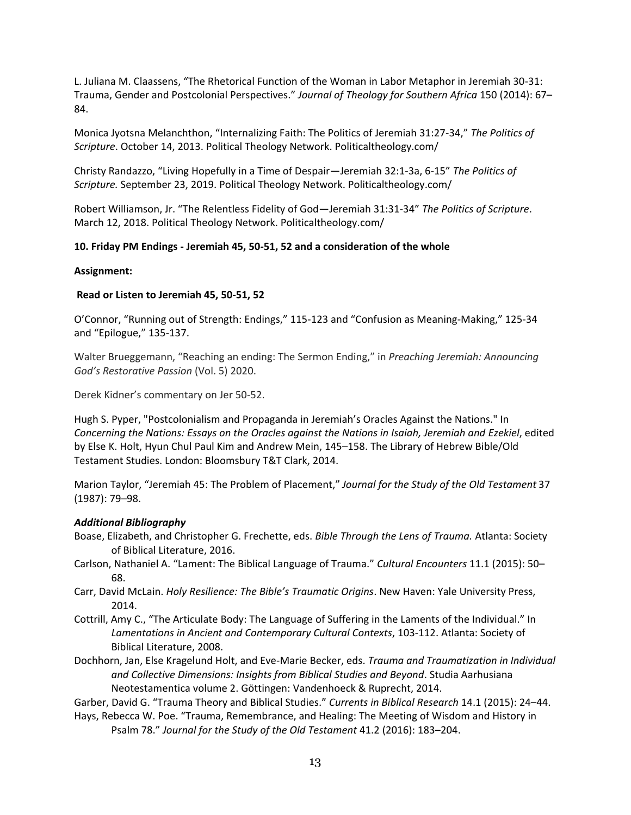L. Juliana M. Claassens, "The Rhetorical Function of the Woman in Labor Metaphor in Jeremiah 30-31: Trauma, Gender and Postcolonial Perspectives." *Journal of Theology for Southern Africa* 150 (2014): 67– 84.

Monica Jyotsna Melanchthon, "Internalizing Faith: The Politics of Jeremiah 31:27-34," *The Politics of Scripture*. October 14, 2013. Political Theology Network. Politicaltheology.com/

Christy Randazzo, "Living Hopefully in a Time of Despair—Jeremiah 32:1-3a, 6-15" *The Politics of Scripture.* September 23, 2019. Political Theology Network. Politicaltheology.com/

Robert Williamson, Jr. "The Relentless Fidelity of God—Jeremiah 31:31-34" *The Politics of Scripture*. March 12, 2018. Political Theology Network. Politicaltheology.com/

#### **10. Friday PM Endings - Jeremiah 45, 50-51, 52 and a consideration of the whole**

#### **Assignment:**

#### **Read or Listen to Jeremiah 45, 50-51, 52**

O'Connor, "Running out of Strength: Endings," 115-123 and "Confusion as Meaning-Making," 125-34 and "Epilogue," 135-137.

Walter Brueggemann, "Reaching an ending: The Sermon Ending," in *Preaching Jeremiah: Announcing God's Restorative Passion* (Vol. 5) 2020.

Derek Kidner's commentary on Jer 50-52.

Hugh S. Pyper, "Postcolonialism and Propaganda in Jeremiah's Oracles Against the Nations." In *Concerning the Nations: Essays on the Oracles against the Nations in Isaiah, Jeremiah and Ezekiel*, edited by Else K. Holt, Hyun Chul Paul Kim and Andrew Mein, 145–158. The Library of Hebrew Bible/Old Testament Studies. London: Bloomsbury T&T Clark, 2014.

Marion Taylor, "Jeremiah 45: The Problem of Placement," *Journal for the Study of the Old Testament* 37 (1987): 79–98.

#### *Additional Bibliography*

- Boase, Elizabeth, and Christopher G. Frechette, eds. *Bible Through the Lens of Trauma.* Atlanta: Society of Biblical Literature, 2016.
- Carlson, Nathaniel A. "Lament: The Biblical Language of Trauma." *Cultural Encounters* 11.1 (2015): 50– 68.
- Carr, David McLain. *Holy Resilience: The Bible's Traumatic Origins*. New Haven: Yale University Press, 2014.
- Cottrill, Amy C., "The Articulate Body: The Language of Suffering in the Laments of the Individual." In *Lamentations in Ancient and Contemporary Cultural Contexts*, 103-112. Atlanta: Society of Biblical Literature, 2008.
- Dochhorn, Jan, Else Kragelund Holt, and Eve-Marie Becker, eds. *Trauma and Traumatization in Individual and Collective Dimensions: Insights from Biblical Studies and Beyond*. Studia Aarhusiana Neotestamentica volume 2. Göttingen: Vandenhoeck & Ruprecht, 2014.

Garber, David G. "Trauma Theory and Biblical Studies." *Currents in Biblical Research* 14.1 (2015): 24–44.

Hays, Rebecca W. Poe. "Trauma, Remembrance, and Healing: The Meeting of Wisdom and History in Psalm 78." *Journal for the Study of the Old Testament* 41.2 (2016): 183–204.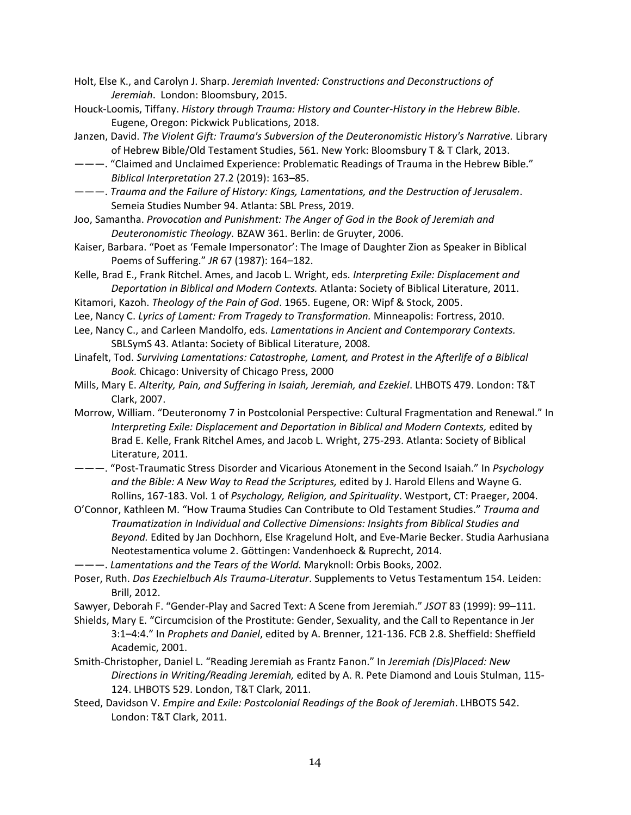- Holt, Else K., and Carolyn J. Sharp. *Jeremiah Invented: Constructions and Deconstructions of Jeremiah*. London: Bloomsbury, 2015.
- Houck-Loomis, Tiffany. *History through Trauma: History and Counter-History in the Hebrew Bible.*  Eugene, Oregon: Pickwick Publications, 2018.
- Janzen, David. *The Violent Gift: Trauma's Subversion of the Deuteronomistic History's Narrative.* Library of Hebrew Bible/Old Testament Studies, 561. New York: Bloomsbury T & T Clark, 2013.
- ———. "Claimed and Unclaimed Experience: Problematic Readings of Trauma in the Hebrew Bible." *Biblical Interpretation* 27.2 (2019): 163–85.
- ———. *Trauma and the Failure of History: Kings, Lamentations, and the Destruction of Jerusalem*. Semeia Studies Number 94. Atlanta: SBL Press, 2019.
- Joo, Samantha. *Provocation and Punishment: The Anger of God in the Book of Jeremiah and Deuteronomistic Theology.* BZAW 361. Berlin: de Gruyter, 2006.
- Kaiser, Barbara. "Poet as 'Female Impersonator': The Image of Daughter Zion as Speaker in Biblical Poems of Suffering." *JR* 67 (1987): 164–182.
- Kelle, Brad E., Frank Ritchel. Ames, and Jacob L. Wright, eds. *Interpreting Exile: Displacement and Deportation in Biblical and Modern Contexts.* Atlanta: Society of Biblical Literature, 2011.
- Kitamori, Kazoh. *Theology of the Pain of God*. 1965. Eugene, OR: Wipf & Stock, 2005.
- Lee, Nancy C. *Lyrics of Lament: From Tragedy to Transformation.* Minneapolis: Fortress, 2010.
- Lee, Nancy C., and Carleen Mandolfo, eds. *Lamentations in Ancient and Contemporary Contexts.*  SBLSymS 43. Atlanta: Society of Biblical Literature, 2008.
- Linafelt, Tod. *Surviving Lamentations: Catastrophe, Lament, and Protest in the Afterlife of a Biblical Book.* Chicago: University of Chicago Press, 2000
- Mills, Mary E. *Alterity, Pain, and Suffering in Isaiah, Jeremiah, and Ezekiel*. LHBOTS 479. London: T&T Clark, 2007.
- Morrow, William. "Deuteronomy 7 in Postcolonial Perspective: Cultural Fragmentation and Renewal." In *Interpreting Exile: Displacement and Deportation in Biblical and Modern Contexts,* edited by Brad E. Kelle, Frank Ritchel Ames, and Jacob L. Wright, 275-293. Atlanta: Society of Biblical Literature, 2011.
- ———. "Post-Traumatic Stress Disorder and Vicarious Atonement in the Second Isaiah." In *Psychology and the Bible: A New Way to Read the Scriptures,* edited by J. Harold Ellens and Wayne G. Rollins, 167-183. Vol. 1 of *Psychology, Religion, and Spirituality*. Westport, CT: Praeger, 2004.
- O'Connor, Kathleen M. "How Trauma Studies Can Contribute to Old Testament Studies." *Trauma and Traumatization in Individual and Collective Dimensions: Insights from Biblical Studies and Beyond.* Edited by Jan Dochhorn, Else Kragelund Holt, and Eve-Marie Becker. Studia Aarhusiana Neotestamentica volume 2. Göttingen: Vandenhoeck & Ruprecht, 2014.
- ———. *Lamentations and the Tears of the World.* Maryknoll: Orbis Books, 2002.
- Poser, Ruth. *Das Ezechielbuch Als Trauma-Literatur*. Supplements to Vetus Testamentum 154. Leiden: Brill, 2012.
- Sawyer, Deborah F. "Gender-Play and Sacred Text: A Scene from Jeremiah." *JSOT* 83 (1999): 99–111.
- Shields, Mary E. "Circumcision of the Prostitute: Gender, Sexuality, and the Call to Repentance in Jer 3:1–4:4." In *Prophets and Daniel*, edited by A. Brenner, 121-136. FCB 2.8. Sheffield: Sheffield Academic, 2001.
- Smith-Christopher, Daniel L. "Reading Jeremiah as Frantz Fanon." In *Jeremiah (Dis)Placed: New Directions in Writing/Reading Jeremiah,* edited by A. R. Pete Diamond and Louis Stulman, 115- 124. LHBOTS 529. London, T&T Clark, 2011.
- Steed, Davidson V. *Empire and Exile: Postcolonial Readings of the Book of Jeremiah*. LHBOTS 542. London: T&T Clark, 2011.